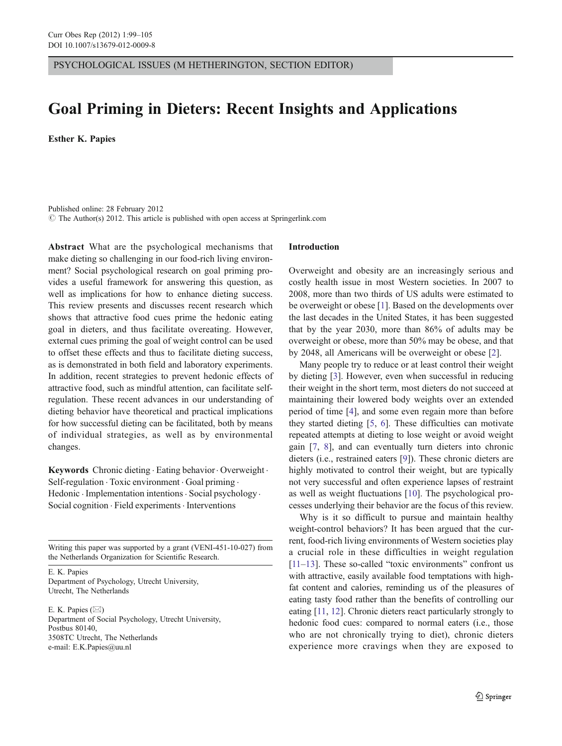PSYCHOLOGICAL ISSUES (M HETHERINGTON, SECTION EDITOR)

# Goal Priming in Dieters: Recent Insights and Applications

Esther K. Papies

Published online: 28 February 2012  $\circ$  The Author(s) 2012. This article is published with open access at Springerlink.com

Abstract What are the psychological mechanisms that make dieting so challenging in our food-rich living environment? Social psychological research on goal priming provides a useful framework for answering this question, as well as implications for how to enhance dieting success. This review presents and discusses recent research which shows that attractive food cues prime the hedonic eating goal in dieters, and thus facilitate overeating. However, external cues priming the goal of weight control can be used to offset these effects and thus to facilitate dieting success, as is demonstrated in both field and laboratory experiments. In addition, recent strategies to prevent hedonic effects of attractive food, such as mindful attention, can facilitate selfregulation. These recent advances in our understanding of dieting behavior have theoretical and practical implications for how successful dieting can be facilitated, both by means of individual strategies, as well as by environmental changes.

Keywords Chronic dieting . Eating behavior. Overweight . Self-regulation · Toxic environment · Goal priming · Hedonic · Implementation intentions · Social psychology · Social cognition · Field experiments · Interventions

Writing this paper was supported by a grant (VENI-451-10-027) from the Netherlands Organization for Scientific Research.

E. K. Papies Department of Psychology, Utrecht University, Utrecht, The Netherlands

E. K. Papies  $(\boxtimes)$ Department of Social Psychology, Utrecht University, Postbus 80140, 3508TC Utrecht, The Netherlands e-mail: E.K.Papies@uu.nl

#### Introduction

Overweight and obesity are an increasingly serious and costly health issue in most Western societies. In 2007 to 2008, more than two thirds of US adults were estimated to be overweight or obese [\[1](#page-5-0)]. Based on the developments over the last decades in the United States, it has been suggested that by the year 2030, more than 86% of adults may be overweight or obese, more than 50% may be obese, and that by 2048, all Americans will be overweight or obese [\[2](#page-5-0)].

Many people try to reduce or at least control their weight by dieting [\[3](#page-5-0)]. However, even when successful in reducing their weight in the short term, most dieters do not succeed at maintaining their lowered body weights over an extended period of time [[4](#page-5-0)], and some even regain more than before they started dieting [\[5](#page-5-0), [6](#page-5-0)]. These difficulties can motivate repeated attempts at dieting to lose weight or avoid weight gain [\[7](#page-5-0), [8](#page-5-0)], and can eventually turn dieters into chronic dieters (i.e., restrained eaters [\[9](#page-5-0)]). These chronic dieters are highly motivated to control their weight, but are typically not very successful and often experience lapses of restraint as well as weight fluctuations [\[10](#page-5-0)]. The psychological processes underlying their behavior are the focus of this review.

Why is it so difficult to pursue and maintain healthy weight-control behaviors? It has been argued that the current, food-rich living environments of Western societies play a crucial role in these difficulties in weight regulation [\[11](#page-5-0)–[13](#page-5-0)]. These so-called "toxic environments" confront us with attractive, easily available food temptations with highfat content and calories, reminding us of the pleasures of eating tasty food rather than the benefits of controlling our eating [\[11,](#page-5-0) [12\]](#page-5-0). Chronic dieters react particularly strongly to hedonic food cues: compared to normal eaters (i.e., those who are not chronically trying to diet), chronic dieters experience more cravings when they are exposed to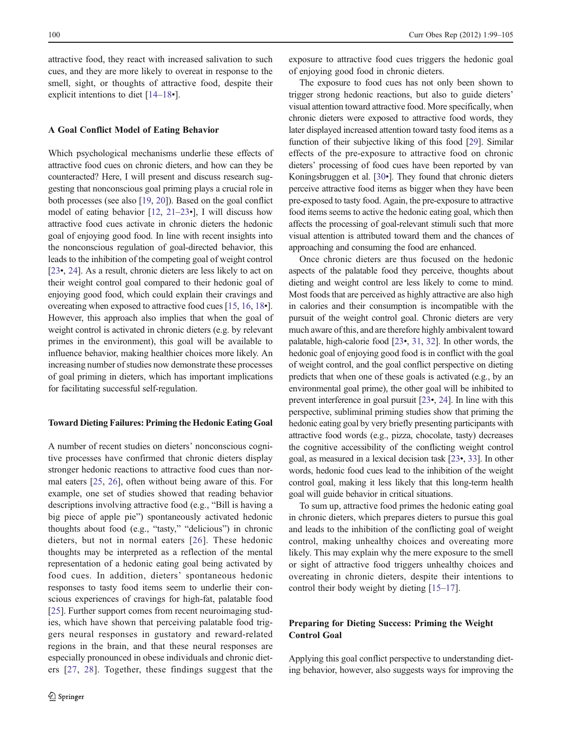attractive food, they react with increased salivation to such cues, and they are more likely to overeat in response to the smell, sight, or thoughts of attractive food, despite their explicit intentions to diet [\[14](#page-5-0)–[18](#page-5-0)•].

## A Goal Conflict Model of Eating Behavior

Which psychological mechanisms underlie these effects of attractive food cues on chronic dieters, and how can they be counteracted? Here, I will present and discuss research suggesting that nonconscious goal priming plays a crucial role in both processes (see also [\[19](#page-5-0), [20](#page-5-0)]). Based on the goal conflict model of eating behavior [\[12](#page-5-0), [21](#page-5-0)–[23](#page-5-0)•], I will discuss how attractive food cues activate in chronic dieters the hedonic goal of enjoying good food. In line with recent insights into the nonconscious regulation of goal-directed behavior, this leads to the inhibition of the competing goal of weight control [\[23](#page-5-0)•, [24](#page-5-0)]. As a result, chronic dieters are less likely to act on their weight control goal compared to their hedonic goal of enjoying good food, which could explain their cravings and overeating when exposed to attractive food cues [[15](#page-5-0), [16,](#page-5-0) [18](#page-5-0)•]. However, this approach also implies that when the goal of weight control is activated in chronic dieters (e.g. by relevant primes in the environment), this goal will be available to influence behavior, making healthier choices more likely. An increasing number of studies now demonstrate these processes of goal priming in dieters, which has important implications for facilitating successful self-regulation.

#### Toward Dieting Failures: Priming the Hedonic Eating Goal

A number of recent studies on dieters' nonconscious cognitive processes have confirmed that chronic dieters display stronger hedonic reactions to attractive food cues than normal eaters [[25,](#page-6-0) [26\]](#page-6-0), often without being aware of this. For example, one set of studies showed that reading behavior descriptions involving attractive food (e.g., "Bill is having a big piece of apple pie") spontaneously activated hedonic thoughts about food (e.g., "tasty," "delicious") in chronic dieters, but not in normal eaters [[26\]](#page-6-0). These hedonic thoughts may be interpreted as a reflection of the mental representation of a hedonic eating goal being activated by food cues. In addition, dieters' spontaneous hedonic responses to tasty food items seem to underlie their conscious experiences of cravings for high-fat, palatable food [\[25](#page-6-0)]. Further support comes from recent neuroimaging studies, which have shown that perceiving palatable food triggers neural responses in gustatory and reward-related regions in the brain, and that these neural responses are especially pronounced in obese individuals and chronic dieters [\[27,](#page-6-0) [28\]](#page-6-0). Together, these findings suggest that the exposure to attractive food cues triggers the hedonic goal of enjoying good food in chronic dieters.

The exposure to food cues has not only been shown to trigger strong hedonic reactions, but also to guide dieters' visual attention toward attractive food. More specifically, when chronic dieters were exposed to attractive food words, they later displayed increased attention toward tasty food items as a function of their subjective liking of this food [\[29\]](#page-6-0). Similar effects of the pre-exposure to attractive food on chronic dieters' processing of food cues have been reported by van Koningsbruggen et al. [\[30](#page-6-0)•]. They found that chronic dieters perceive attractive food items as bigger when they have been pre-exposed to tasty food. Again, the pre-exposure to attractive food items seems to active the hedonic eating goal, which then affects the processing of goal-relevant stimuli such that more visual attention is attributed toward them and the chances of approaching and consuming the food are enhanced.

Once chronic dieters are thus focused on the hedonic aspects of the palatable food they perceive, thoughts about dieting and weight control are less likely to come to mind. Most foods that are perceived as highly attractive are also high in calories and their consumption is incompatible with the pursuit of the weight control goal. Chronic dieters are very much aware of this, and are therefore highly ambivalent toward palatable, high-calorie food [\[23](#page-5-0)•, [31](#page-6-0), [32\]](#page-6-0). In other words, the hedonic goal of enjoying good food is in conflict with the goal of weight control, and the goal conflict perspective on dieting predicts that when one of these goals is activated (e.g., by an environmental goal prime), the other goal will be inhibited to prevent interference in goal pursuit [\[23](#page-5-0)•, [24\]](#page-5-0). In line with this perspective, subliminal priming studies show that priming the hedonic eating goal by very briefly presenting participants with attractive food words (e.g., pizza, chocolate, tasty) decreases the cognitive accessibility of the conflicting weight control goal, as measured in a lexical decision task [\[23](#page-5-0)•, [33\]](#page-6-0). In other words, hedonic food cues lead to the inhibition of the weight control goal, making it less likely that this long-term health goal will guide behavior in critical situations.

To sum up, attractive food primes the hedonic eating goal in chronic dieters, which prepares dieters to pursue this goal and leads to the inhibition of the conflicting goal of weight control, making unhealthy choices and overeating more likely. This may explain why the mere exposure to the smell or sight of attractive food triggers unhealthy choices and overeating in chronic dieters, despite their intentions to control their body weight by dieting [[15](#page-5-0)–[17\]](#page-5-0).

# Preparing for Dieting Success: Priming the Weight Control Goal

Applying this goal conflict perspective to understanding dieting behavior, however, also suggests ways for improving the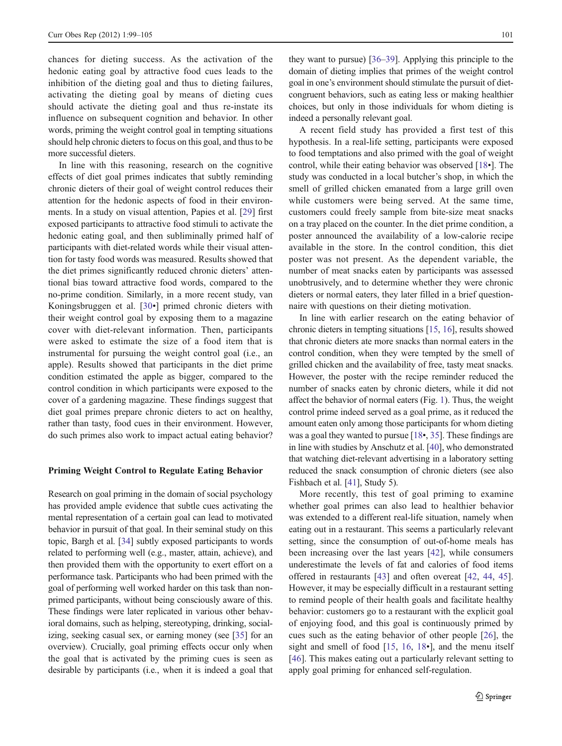chances for dieting success. As the activation of the hedonic eating goal by attractive food cues leads to the inhibition of the dieting goal and thus to dieting failures, activating the dieting goal by means of dieting cues should activate the dieting goal and thus re-instate its influence on subsequent cognition and behavior. In other words, priming the weight control goal in tempting situations should help chronic dieters to focus on this goal, and thus to be more successful dieters.

In line with this reasoning, research on the cognitive effects of diet goal primes indicates that subtly reminding chronic dieters of their goal of weight control reduces their attention for the hedonic aspects of food in their environments. In a study on visual attention, Papies et al. [\[29](#page-6-0)] first exposed participants to attractive food stimuli to activate the hedonic eating goal, and then subliminally primed half of participants with diet-related words while their visual attention for tasty food words was measured. Results showed that the diet primes significantly reduced chronic dieters' attentional bias toward attractive food words, compared to the no-prime condition. Similarly, in a more recent study, van Koningsbruggen et al. [[30](#page-6-0)•] primed chronic dieters with their weight control goal by exposing them to a magazine cover with diet-relevant information. Then, participants were asked to estimate the size of a food item that is instrumental for pursuing the weight control goal (i.e., an apple). Results showed that participants in the diet prime condition estimated the apple as bigger, compared to the control condition in which participants were exposed to the cover of a gardening magazine. These findings suggest that diet goal primes prepare chronic dieters to act on healthy, rather than tasty, food cues in their environment. However, do such primes also work to impact actual eating behavior?

#### Priming Weight Control to Regulate Eating Behavior

Research on goal priming in the domain of social psychology has provided ample evidence that subtle cues activating the mental representation of a certain goal can lead to motivated behavior in pursuit of that goal. In their seminal study on this topic, Bargh et al. [[34](#page-6-0)] subtly exposed participants to words related to performing well (e.g., master, attain, achieve), and then provided them with the opportunity to exert effort on a performance task. Participants who had been primed with the goal of performing well worked harder on this task than nonprimed participants, without being consciously aware of this. These findings were later replicated in various other behavioral domains, such as helping, stereotyping, drinking, socializing, seeking casual sex, or earning money (see [\[35](#page-6-0)] for an overview). Crucially, goal priming effects occur only when the goal that is activated by the priming cues is seen as desirable by participants (i.e., when it is indeed a goal that

they want to pursue) [\[36](#page-6-0)–[39\]](#page-6-0). Applying this principle to the domain of dieting implies that primes of the weight control goal in one's environment should stimulate the pursuit of dietcongruent behaviors, such as eating less or making healthier choices, but only in those individuals for whom dieting is indeed a personally relevant goal.

A recent field study has provided a first test of this hypothesis. In a real-life setting, participants were exposed to food temptations and also primed with the goal of weight control, while their eating behavior was observed [\[18](#page-5-0)•]. The study was conducted in a local butcher's shop, in which the smell of grilled chicken emanated from a large grill oven while customers were being served. At the same time, customers could freely sample from bite-size meat snacks on a tray placed on the counter. In the diet prime condition, a poster announced the availability of a low-calorie recipe available in the store. In the control condition, this diet poster was not present. As the dependent variable, the number of meat snacks eaten by participants was assessed unobtrusively, and to determine whether they were chronic dieters or normal eaters, they later filled in a brief questionnaire with questions on their dieting motivation.

In line with earlier research on the eating behavior of chronic dieters in tempting situations [[15](#page-5-0), [16\]](#page-5-0), results showed that chronic dieters ate more snacks than normal eaters in the control condition, when they were tempted by the smell of grilled chicken and the availability of free, tasty meat snacks. However, the poster with the recipe reminder reduced the number of snacks eaten by chronic dieters, while it did not affect the behavior of normal eaters (Fig. [1](#page-3-0)). Thus, the weight control prime indeed served as a goal prime, as it reduced the amount eaten only among those participants for whom dieting was a goal they wanted to pursue [\[18](#page-5-0)•, [35\]](#page-6-0). These findings are in line with studies by Anschutz et al. [\[40](#page-6-0)], who demonstrated that watching diet-relevant advertising in a laboratory setting reduced the snack consumption of chronic dieters (see also Fishbach et al. [\[41](#page-6-0)], Study 5).

More recently, this test of goal priming to examine whether goal primes can also lead to healthier behavior was extended to a different real-life situation, namely when eating out in a restaurant. This seems a particularly relevant setting, since the consumption of out-of-home meals has been increasing over the last years [\[42](#page-6-0)], while consumers underestimate the levels of fat and calories of food items offered in restaurants [[43\]](#page-6-0) and often overeat [[42,](#page-6-0) [44](#page-6-0), [45\]](#page-6-0). However, it may be especially difficult in a restaurant setting to remind people of their health goals and facilitate healthy behavior: customers go to a restaurant with the explicit goal of enjoying food, and this goal is continuously primed by cues such as the eating behavior of other people [[26\]](#page-6-0), the sight and smell of food [\[15](#page-5-0), [16,](#page-5-0) [18](#page-5-0)•], and the menu itself [\[46](#page-6-0)]. This makes eating out a particularly relevant setting to apply goal priming for enhanced self-regulation.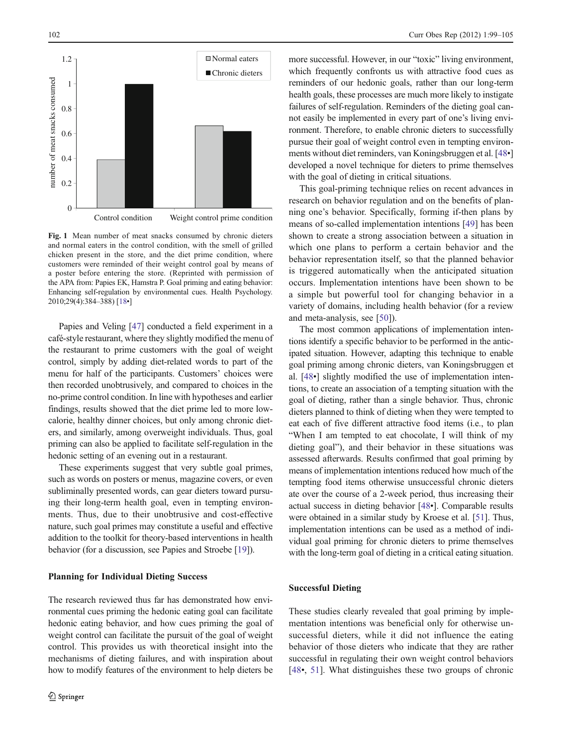<span id="page-3-0"></span>

Fig. 1 Mean number of meat snacks consumed by chronic dieters and normal eaters in the control condition, with the smell of grilled chicken present in the store, and the diet prime condition, where customers were reminded of their weight control goal by means of a poster before entering the store. (Reprinted with permission of the APA from: Papies EK, Hamstra P. Goal priming and eating behavior: Enhancing self-regulation by environmental cues. Health Psychology. 2010;29(4):384–388) [\[18](#page-5-0)•]

Papies and Veling [[47\]](#page-6-0) conducted a field experiment in a café-style restaurant, where they slightly modified the menu of the restaurant to prime customers with the goal of weight control, simply by adding diet-related words to part of the menu for half of the participants. Customers' choices were then recorded unobtrusively, and compared to choices in the no-prime control condition. In line with hypotheses and earlier findings, results showed that the diet prime led to more lowcalorie, healthy dinner choices, but only among chronic dieters, and similarly, among overweight individuals. Thus, goal priming can also be applied to facilitate self-regulation in the hedonic setting of an evening out in a restaurant.

These experiments suggest that very subtle goal primes, such as words on posters or menus, magazine covers, or even subliminally presented words, can gear dieters toward pursuing their long-term health goal, even in tempting environments. Thus, due to their unobtrusive and cost-effective nature, such goal primes may constitute a useful and effective addition to the toolkit for theory-based interventions in health behavior (for a discussion, see Papies and Stroebe [[19](#page-5-0)]).

#### Planning for Individual Dieting Success

The research reviewed thus far has demonstrated how environmental cues priming the hedonic eating goal can facilitate hedonic eating behavior, and how cues priming the goal of weight control can facilitate the pursuit of the goal of weight control. This provides us with theoretical insight into the mechanisms of dieting failures, and with inspiration about how to modify features of the environment to help dieters be

more successful. However, in our "toxic" living environment, which frequently confronts us with attractive food cues as reminders of our hedonic goals, rather than our long-term health goals, these processes are much more likely to instigate failures of self-regulation. Reminders of the dieting goal cannot easily be implemented in every part of one's living environment. Therefore, to enable chronic dieters to successfully pursue their goal of weight control even in tempting environments without diet reminders, van Koningsbruggen et al. [\[48](#page-6-0)•] developed a novel technique for dieters to prime themselves with the goal of dieting in critical situations.

This goal-priming technique relies on recent advances in research on behavior regulation and on the benefits of planning one's behavior. Specifically, forming if-then plans by means of so-called implementation intentions [\[49](#page-6-0)] has been shown to create a strong association between a situation in which one plans to perform a certain behavior and the behavior representation itself, so that the planned behavior is triggered automatically when the anticipated situation occurs. Implementation intentions have been shown to be a simple but powerful tool for changing behavior in a variety of domains, including health behavior (for a review and meta-analysis, see [[50\]](#page-6-0)).

The most common applications of implementation intentions identify a specific behavior to be performed in the anticipated situation. However, adapting this technique to enable goal priming among chronic dieters, van Koningsbruggen et al. [\[48](#page-6-0)•] slightly modified the use of implementation intentions, to create an association of a tempting situation with the goal of dieting, rather than a single behavior. Thus, chronic dieters planned to think of dieting when they were tempted to eat each of five different attractive food items (i.e., to plan "When I am tempted to eat chocolate, I will think of my dieting goal"), and their behavior in these situations was assessed afterwards. Results confirmed that goal priming by means of implementation intentions reduced how much of the tempting food items otherwise unsuccessful chronic dieters ate over the course of a 2-week period, thus increasing their actual success in dieting behavior [\[48](#page-6-0)•]. Comparable results were obtained in a similar study by Kroese et al. [\[51\]](#page-6-0). Thus, implementation intentions can be used as a method of individual goal priming for chronic dieters to prime themselves with the long-term goal of dieting in a critical eating situation.

#### Successful Dieting

These studies clearly revealed that goal priming by implementation intentions was beneficial only for otherwise unsuccessful dieters, while it did not influence the eating behavior of those dieters who indicate that they are rather successful in regulating their own weight control behaviors [\[48](#page-6-0)•, [51](#page-6-0)]. What distinguishes these two groups of chronic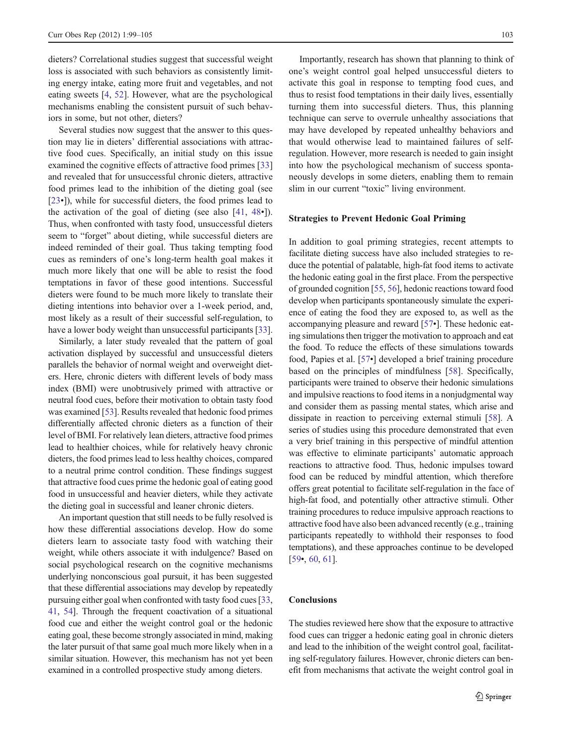dieters? Correlational studies suggest that successful weight loss is associated with such behaviors as consistently limiting energy intake, eating more fruit and vegetables, and not eating sweets [[4,](#page-5-0) [52](#page-6-0)]. However, what are the psychological mechanisms enabling the consistent pursuit of such behaviors in some, but not other, dieters?

Several studies now suggest that the answer to this question may lie in dieters' differential associations with attractive food cues. Specifically, an initial study on this issue examined the cognitive effects of attractive food primes [[33\]](#page-6-0) and revealed that for unsuccessful chronic dieters, attractive food primes lead to the inhibition of the dieting goal (see [\[23](#page-5-0)•]), while for successful dieters, the food primes lead to the activation of the goal of dieting (see also [[41,](#page-6-0) [48](#page-6-0)•]). Thus, when confronted with tasty food, unsuccessful dieters seem to "forget" about dieting, while successful dieters are indeed reminded of their goal. Thus taking tempting food cues as reminders of one's long-term health goal makes it much more likely that one will be able to resist the food temptations in favor of these good intentions. Successful dieters were found to be much more likely to translate their dieting intentions into behavior over a 1-week period, and, most likely as a result of their successful self-regulation, to have a lower body weight than unsuccessful participants [[33\]](#page-6-0).

Similarly, a later study revealed that the pattern of goal activation displayed by successful and unsuccessful dieters parallels the behavior of normal weight and overweight dieters. Here, chronic dieters with different levels of body mass index (BMI) were unobtrusively primed with attractive or neutral food cues, before their motivation to obtain tasty food was examined [\[53\]](#page-6-0). Results revealed that hedonic food primes differentially affected chronic dieters as a function of their level of BMI. For relatively lean dieters, attractive food primes lead to healthier choices, while for relatively heavy chronic dieters, the food primes lead to less healthy choices, compared to a neutral prime control condition. These findings suggest that attractive food cues prime the hedonic goal of eating good food in unsuccessful and heavier dieters, while they activate the dieting goal in successful and leaner chronic dieters.

An important question that still needs to be fully resolved is how these differential associations develop. How do some dieters learn to associate tasty food with watching their weight, while others associate it with indulgence? Based on social psychological research on the cognitive mechanisms underlying nonconscious goal pursuit, it has been suggested that these differential associations may develop by repeatedly pursuing either goal when confronted with tasty food cues [[33,](#page-6-0) [41,](#page-6-0) [54](#page-6-0)]. Through the frequent coactivation of a situational food cue and either the weight control goal or the hedonic eating goal, these become strongly associated in mind, making the later pursuit of that same goal much more likely when in a similar situation. However, this mechanism has not yet been examined in a controlled prospective study among dieters.

Importantly, research has shown that planning to think of one's weight control goal helped unsuccessful dieters to activate this goal in response to tempting food cues, and thus to resist food temptations in their daily lives, essentially turning them into successful dieters. Thus, this planning technique can serve to overrule unhealthy associations that may have developed by repeated unhealthy behaviors and that would otherwise lead to maintained failures of selfregulation. However, more research is needed to gain insight into how the psychological mechanism of success spontaneously develops in some dieters, enabling them to remain slim in our current "toxic" living environment.

#### Strategies to Prevent Hedonic Goal Priming

In addition to goal priming strategies, recent attempts to facilitate dieting success have also included strategies to reduce the potential of palatable, high-fat food items to activate the hedonic eating goal in the first place. From the perspective of grounded cognition [[55](#page-6-0), [56\]](#page-6-0), hedonic reactions toward food develop when participants spontaneously simulate the experience of eating the food they are exposed to, as well as the accompanying pleasure and reward [\[57](#page-6-0)•]. These hedonic eating simulations then trigger the motivation to approach and eat the food. To reduce the effects of these simulations towards food, Papies et al. [[57](#page-6-0)•] developed a brief training procedure based on the principles of mindfulness [\[58](#page-6-0)]. Specifically, participants were trained to observe their hedonic simulations and impulsive reactions to food items in a nonjudgmental way and consider them as passing mental states, which arise and dissipate in reaction to perceiving external stimuli [\[58](#page-6-0)]. A series of studies using this procedure demonstrated that even a very brief training in this perspective of mindful attention was effective to eliminate participants' automatic approach reactions to attractive food. Thus, hedonic impulses toward food can be reduced by mindful attention, which therefore offers great potential to facilitate self-regulation in the face of high-fat food, and potentially other attractive stimuli. Other training procedures to reduce impulsive approach reactions to attractive food have also been advanced recently (e.g., training participants repeatedly to withhold their responses to food temptations), and these approaches continue to be developed [\[59](#page-6-0)•, [60](#page-6-0), [61](#page-6-0)].

#### Conclusions

The studies reviewed here show that the exposure to attractive food cues can trigger a hedonic eating goal in chronic dieters and lead to the inhibition of the weight control goal, facilitating self-regulatory failures. However, chronic dieters can benefit from mechanisms that activate the weight control goal in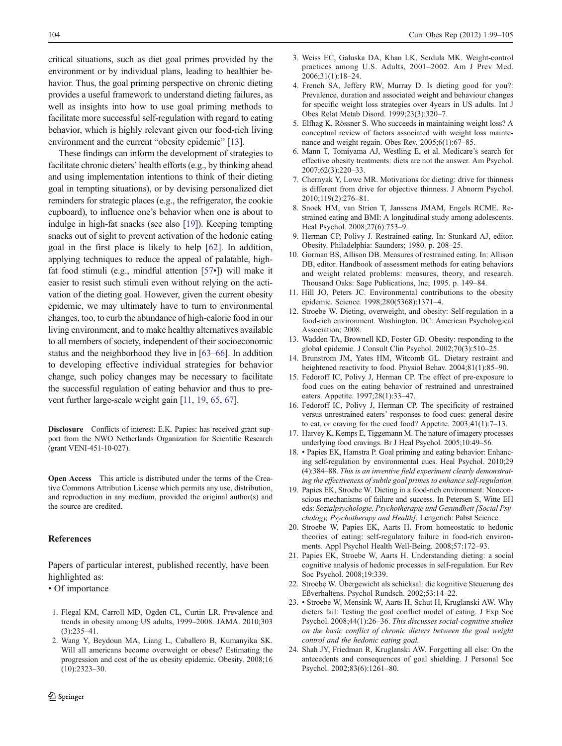<span id="page-5-0"></span>critical situations, such as diet goal primes provided by the environment or by individual plans, leading to healthier behavior. Thus, the goal priming perspective on chronic dieting provides a useful framework to understand dieting failures, as well as insights into how to use goal priming methods to facilitate more successful self-regulation with regard to eating behavior, which is highly relevant given our food-rich living environment and the current "obesity epidemic" [13].

These findings can inform the development of strategies to facilitate chronic dieters' health efforts (e.g., by thinking ahead and using implementation intentions to think of their dieting goal in tempting situations), or by devising personalized diet reminders for strategic places (e.g., the refrigerator, the cookie cupboard), to influence one's behavior when one is about to indulge in high-fat snacks (see also [19]). Keeping tempting snacks out of sight to prevent activation of the hedonic eating goal in the first place is likely to help [\[62](#page-6-0)]. In addition, applying techniques to reduce the appeal of palatable, highfat food stimuli (e.g., mindful attention [\[57](#page-6-0)•]) will make it easier to resist such stimuli even without relying on the activation of the dieting goal. However, given the current obesity epidemic, we may ultimately have to turn to environmental changes, too, to curb the abundance of high-calorie food in our living environment, and to make healthy alternatives available to all members of society, independent of their socioeconomic status and the neighborhood they live in [\[63](#page-6-0)–[66](#page-6-0)]. In addition to developing effective individual strategies for behavior change, such policy changes may be necessary to facilitate the successful regulation of eating behavior and thus to prevent further large-scale weight gain [11, 19, [65,](#page-6-0) [67\]](#page-6-0).

Disclosure Conflicts of interest: E.K. Papies: has received grant support from the NWO Netherlands Organization for Scientific Research (grant VENI-451-10-027).

Open Access This article is distributed under the terms of the Creative Commons Attribution License which permits any use, distribution, and reproduction in any medium, provided the original author(s) and the source are credited.

### References

Papers of particular interest, published recently, have been highlighted as:

#### • Of importance

- 1. Flegal KM, Carroll MD, Ogden CL, Curtin LR. Prevalence and trends in obesity among US adults, 1999–2008. JAMA. 2010;303  $(3):235-41.$
- 2. Wang Y, Beydoun MA, Liang L, Caballero B, Kumanyika SK. Will all americans become overweight or obese? Estimating the progression and cost of the us obesity epidemic. Obesity. 2008;16 (10):2323–30.
- 3. Weiss EC, Galuska DA, Khan LK, Serdula MK. Weight-control practices among U.S. Adults, 2001–2002. Am J Prev Med. 2006;31(1):18–24.
- 4. French SA, Jeffery RW, Murray D. Is dieting good for you?: Prevalence, duration and associated weight and behaviour changes for specific weight loss strategies over 4years in US adults. Int J Obes Relat Metab Disord. 1999;23(3):320–7.
- 5. Elfhag K, Rössner S. Who succeeds in maintaining weight loss? A conceptual review of factors associated with weight loss maintenance and weight regain. Obes Rev. 2005;6(1):67–85.
- 6. Mann T, Tomiyama AJ, Westling E, et al. Medicare's search for effective obesity treatments: diets are not the answer. Am Psychol. 2007;62(3):220–33.
- 7. Chernyak Y, Lowe MR. Motivations for dieting: drive for thinness is different from drive for objective thinness. J Abnorm Psychol. 2010;119(2):276–81.
- 8. Snoek HM, van Strien T, Janssens JMAM, Engels RCME. Restrained eating and BMI: A longitudinal study among adolescents. Heal Psychol. 2008;27(6):753–9.
- 9. Herman CP, Polivy J. Restrained eating. In: Stunkard AJ, editor. Obesity. Philadelphia: Saunders; 1980. p. 208–25.
- 10. Gorman BS, Allison DB. Measures of restrained eating. In: Allison DB, editor. Handbook of assessment methods for eating behaviors and weight related problems: measures, theory, and research. Thousand Oaks: Sage Publications, Inc; 1995. p. 149–84.
- 11. Hill JO, Peters JC. Environmental contributions to the obesity epidemic. Science. 1998;280(5368):1371–4.
- 12. Stroebe W. Dieting, overweight, and obesity: Self-regulation in a food-rich environment. Washington, DC: American Psychological Association; 2008.
- 13. Wadden TA, Brownell KD, Foster GD. Obesity: responding to the global epidemic. J Consult Clin Psychol. 2002;70(3):510–25.
- 14. Brunstrom JM, Yates HM, Witcomb GL. Dietary restraint and heightened reactivity to food. Physiol Behav. 2004;81(1):85–90.
- 15. Fedoroff IC, Polivy J, Herman CP. The effect of pre-exposure to food cues on the eating behavior of restrained and unrestrained eaters. Appetite. 1997;28(1):33–47.
- 16. Fedoroff IC, Polivy J, Herman CP. The specificity of restrained versus unrestrained eaters' responses to food cues: general desire to eat, or craving for the cued food? Appetite. 2003;41(1):7–13.
- 17. Harvey K, Kemps E, Tiggemann M. The nature of imagery processes underlying food cravings. Br J Heal Psychol. 2005;10:49–56.
- 18. Papies EK, Hamstra P. Goal priming and eating behavior: Enhancing self-regulation by environmental cues. Heal Psychol. 2010;29 (4):384–88. This is an inventive field experiment clearly demonstrating the effectiveness of subtle goal primes to enhance self-regulation.
- 19. Papies EK, Stroebe W. Dieting in a food-rich environment: Nonconscious mechanisms of failure and success. In Petersen S, Witte EH eds: Sozialpsychologie, Psychotherapie und Gesundheit [Social Psychology, Psychotherapy and Health]. Lengerich: Pabst Science.
- 20. Stroebe W, Papies EK, Aarts H. From homeostatic to hedonic theories of eating: self-regulatory failure in food-rich environments. Appl Psychol Health Well-Being. 2008;57:172–93.
- 21. Papies EK, Stroebe W, Aarts H. Understanding dieting: a social cognitive analysis of hedonic processes in self-regulation. Eur Rev Soc Psychol. 2008;19:339.
- 22. Stroebe W. Übergewicht als schicksal: die kognitive Steuerung des Eßverhaltens. Psychol Rundsch. 2002;53:14–22.
- 23. Stroebe W, Mensink W, Aarts H, Schut H, Kruglanski AW. Why dieters fail: Testing the goal conflict model of eating. J Exp Soc Psychol. 2008;44(1):26–36. This discusses social-cognitive studies on the basic conflict of chronic dieters between the goal weight control and the hedonic eating goal.
- 24. Shah JY, Friedman R, Kruglanski AW. Forgetting all else: On the antecedents and consequences of goal shielding. J Personal Soc Psychol. 2002;83(6):1261–80.